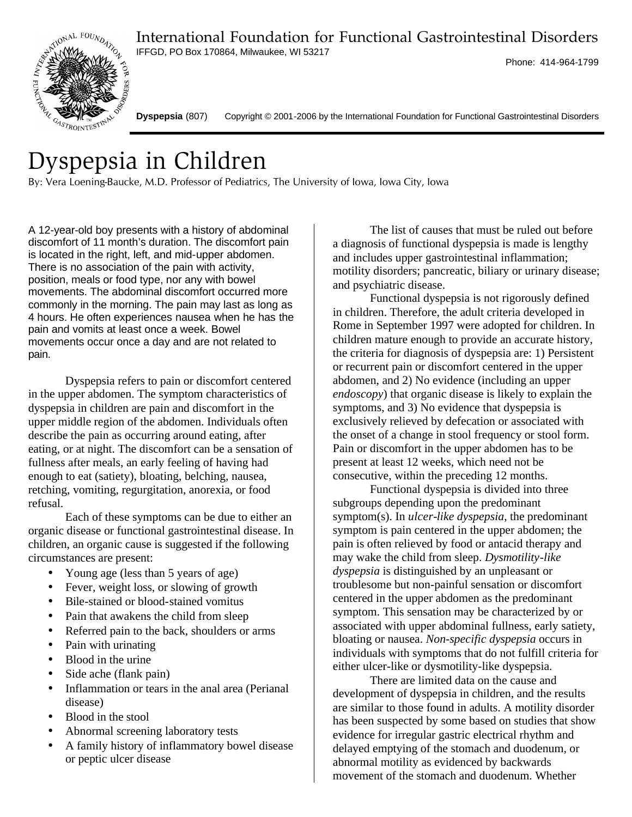International Foundation for Functional Gastrointestinal Disorders



IFFGD, PO Box 170864, Milwaukee, WI 53217

Phone: 414-964-1799

**Dyspepsia** (807) Copyright © 2001-2006 by the International Foundation for Functional Gastrointestinal Disorders

## Dyspepsia in Children

By: Vera Loening-Baucke, M.D. Professor of Pediatrics, The University of Iowa, Iowa City, Iowa

A 12-year-old boy presents with a history of abdominal discomfort of 11 month's duration. The discomfort pain is located in the right, left, and mid-upper abdomen. There is no association of the pain with activity, position, meals or food type, nor any with bowel movements. The abdominal discomfort occurred more commonly in the morning. The pain may last as long as 4 hours. He often experiences nausea when he has the pain and vomits at least once a week. Bowel movements occur once a day and are not related to pain.

Dyspepsia refers to pain or discomfort centered in the upper abdomen. The symptom characteristics of dyspepsia in children are pain and discomfort in the upper middle region of the abdomen. Individuals often describe the pain as occurring around eating, after eating, or at night. The discomfort can be a sensation of fullness after meals, an early feeling of having had enough to eat (satiety), bloating, belching, nausea, retching, vomiting, regurgitation, anorexia, or food refusal.

Each of these symptoms can be due to either an organic disease or functional gastrointestinal disease. In children, an organic cause is suggested if the following circumstances are present:

- Young age (less than 5 years of age)
- Fever*,* weight loss, or slowing of growth
- Bile-stained or blood-stained vomitus
- Pain that awakens the child from sleep
- Referred pain to the back, shoulders or arms
- Pain with urinating
- Blood in the urine
- Side ache (flank pain)
- Inflammation or tears in the anal area (Perianal disease)
- Blood in the stool
- Abnormal screening laboratory tests
- A family history of inflammatory bowel disease or peptic ulcer disease

The list of causes that must be ruled out before a diagnosis of functional dyspepsia is made is lengthy and includes upper gastrointestinal inflammation; motility disorders; pancreatic, biliary or urinary disease; and psychiatric disease.

Functional dyspepsia is not rigorously defined in children. Therefore, the adult criteria developed in Rome in September 1997 were adopted for children. In children mature enough to provide an accurate history, the criteria for diagnosis of dyspepsia are: 1) Persistent or recurrent pain or discomfort centered in the upper abdomen, and 2) No evidence (including an upper *endoscopy*) that organic disease is likely to explain the symptoms, and 3) No evidence that dyspepsia is exclusively relieved by defecation or associated with the onset of a change in stool frequency or stool form. Pain or discomfort in the upper abdomen has to be present at least 12 weeks, which need not be consecutive, within the preceding 12 months.

Functional dyspepsia is divided into three subgroups depending upon the predominant symptom(s). In *ulcer-like dyspepsia*, the predominant symptom is pain centered in the upper abdomen; the pain is often relieved by food or antacid therapy and may wake the child from sleep. *Dysmotility-like dyspepsia* is distinguished by an unpleasant or troublesome but non-painful sensation or discomfort centered in the upper abdomen as the predominant symptom. This sensation may be characterized by or associated with upper abdominal fullness, early satiety, bloating or nausea. *Non-specific dyspepsia* occurs in individuals with symptoms that do not fulfill criteria for either ulcer-like or dysmotility-like dyspepsia.

There are limited data on the cause and development of dyspepsia in children, and the results are similar to those found in adults. A motility disorder has been suspected by some based on studies that show evidence for irregular gastric electrical rhythm and delayed emptying of the stomach and duodenum, or abnormal motility as evidenced by backwards movement of the stomach and duodenum. Whether